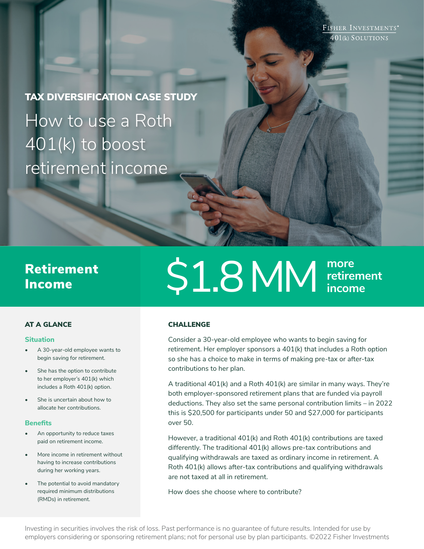FISHER INVESTMENTS® 401(k) SOLUTIONS

TAX DIVERSIFICATION CASE STUDY How to use a Roth 401(k) to boost retirement income

# Income

# Retirement  $\mathsf{S1.8} \mathrm{MM}^\mathrm{more}$ **retirement income**

### AT A GLANCE

#### **Situation**

- A 30-year-old employee wants to begin saving for retirement.
- She has the option to contribute to her employer's 401(k) which includes a Roth 401(k) option.
- She is uncertain about how to allocate her contributions.

#### **Benefits**

- An opportunity to reduce taxes paid on retirement income.
- More income in retirement without having to increase contributions during her working years.
- The potential to avoid mandatory required minimum distributions (RMDs) in retirement.

# **CHALLENGE**

Consider a 30-year-old employee who wants to begin saving for retirement. Her employer sponsors a 401(k) that includes a Roth option so she has a choice to make in terms of making pre-tax or after-tax contributions to her plan.

A traditional 401(k) and a Roth 401(k) are similar in many ways. They're both employer-sponsored retirement plans that are funded via payroll deductions. They also set the same personal contribution limits – in 2022 this is \$20,500 for participants under 50 and \$27,000 for participants over 50.

However, a traditional 401(k) and Roth 401(k) contributions are taxed differently. The traditional 401(k) allows pre-tax contributions and qualifying withdrawals are taxed as ordinary income in retirement. A Roth 401(k) allows after-tax contributions and qualifying withdrawals are not taxed at all in retirement.

How does she choose where to contribute?

Investing in securities involves the risk of loss. Past performance is no guarantee of future results. Intended for use by employers considering or sponsoring retirement plans; not for personal use by plan participants. ©2022 Fisher Investments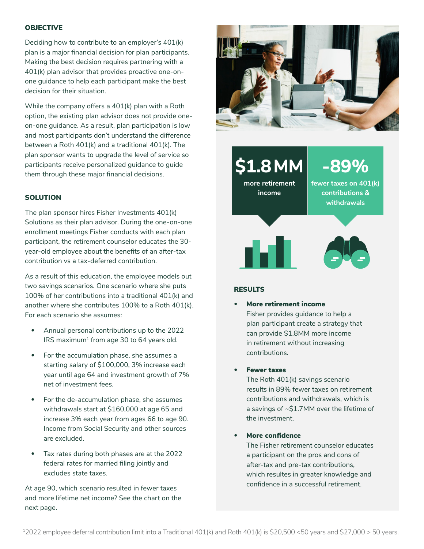#### **OBJECTIVE**

Deciding how to contribute to an employer's 401(k) plan is a major financial decision for plan participants. Making the best decision requires partnering with a 401(k) plan advisor that provides proactive one-onone guidance to help each participant make the best decision for their situation.

While the company offers a 401(k) plan with a Roth option, the existing plan advisor does not provide oneon-one guidance. As a result, plan participation is low and most participants don't understand the difference between a Roth 401(k) and a traditional 401(k). The plan sponsor wants to upgrade the level of service so participants receive personalized guidance to guide them through these major financial decisions.

#### **SOLUTION**

The plan sponsor hires Fisher Investments 401(k) Solutions as their plan advisor. During the one-on-one enrollment meetings Fisher conducts with each plan participant, the retirement counselor educates the 30 year-old employee about the benefits of an after-tax contribution vs a tax-deferred contribution.

As a result of this education, the employee models out two savings scenarios. One scenario where she puts 100% of her contributions into a traditional 401(k) and another where she contributes 100% to a Roth 401(k). For each scenario she assumes:

- Annual personal contributions up to the 2022  $IRS$  maximum<sup>1</sup> from age 30 to 64 years old.
- For the accumulation phase, she assumes a starting salary of \$100,000, 3% increase each year until age 64 and investment growth of 7% net of investment fees.
- For the de-accumulation phase, she assumes withdrawals start at \$160,000 at age 65 and increase 3% each year from ages 66 to age 90. Income from Social Security and other sources are excluded.
- Tax rates during both phases are at the 2022 federal rates for married filing jointly and excludes state taxes.

At age 90, which scenario resulted in fewer taxes and more lifetime net income? See the chart on the next page.



**\$1.8 MM**

**more retirement income**

**fewer taxes on 401(k) contributions & withdrawals**

**-89%**



#### **RESULTS**

• More retirement income Fisher provides guidance to help a plan participant create a strategy that can provide \$1.8MM more income in retirement without increasing contributions.

#### **Fewer taxes**

The Roth 401(k) savings scenario results in 89% fewer taxes on retirement contributions and withdrawals, which is a savings of ~\$1.7MM over the lifetime of the investment.

# • More confidence

The Fisher retirement counselor educates a participant on the pros and cons of after-tax and pre-tax contributions, which resultes in greater knowledge and confidence in a successful retirement.